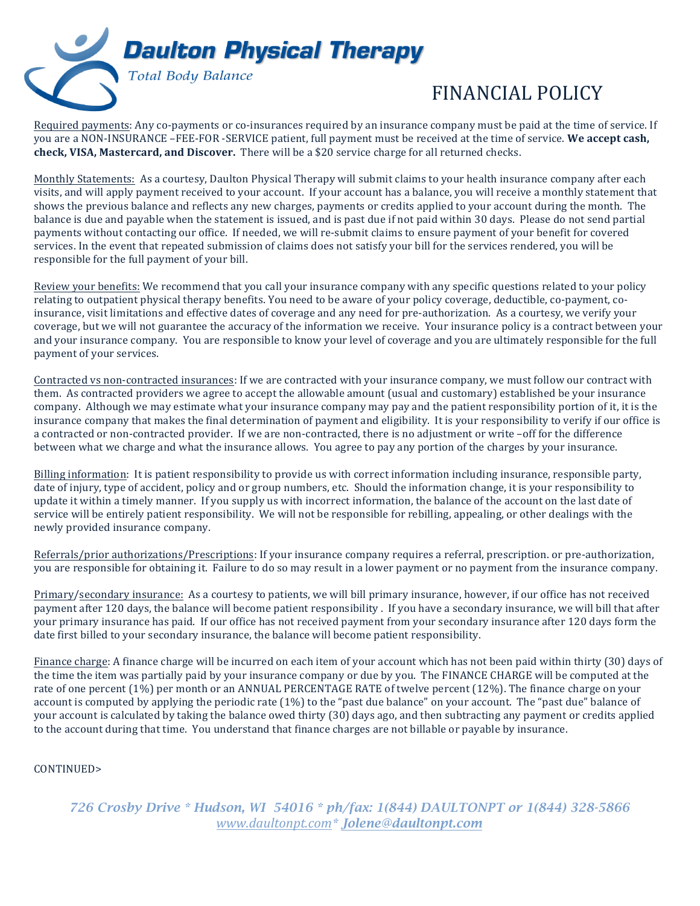

## FINANCIAL POLICY

Required payments: Any co-payments or co-insurances required by an insurance company must be paid at the time of service. If you are a NON-INSURANCE –FEE-FOR -SERVICE patient, full payment must be received at the time of service. We accept cash, **check, VISA, Mastercard, and Discover.** There will be a \$20 service charge for all returned checks.

Monthly Statements: As a courtesy, Daulton Physical Therapy will submit claims to your health insurance company after each visits, and will apply payment received to your account. If your account has a balance, you will receive a monthly statement that shows the previous balance and reflects any new charges, payments or credits applied to your account during the month. The balance is due and payable when the statement is issued, and is past due if not paid within 30 days. Please do not send partial payments without contacting our office. If needed, we will re-submit claims to ensure payment of your benefit for covered services. In the event that repeated submission of claims does not satisfy your bill for the services rendered, you will be responsible for the full payment of your bill.

Review your benefits: We recommend that you call your insurance company with any specific questions related to your policy relating to outpatient physical therapy benefits. You need to be aware of your policy coverage, deductible, co-payment, coinsurance, visit limitations and effective dates of coverage and any need for pre-authorization. As a courtesy, we verify your coverage, but we will not guarantee the accuracy of the information we receive. Your insurance policy is a contract between your and your insurance company. You are responsible to know your level of coverage and you are ultimately responsible for the full payment of your services.

Contracted vs non-contracted insurances: If we are contracted with your insurance company, we must follow our contract with them. As contracted providers we agree to accept the allowable amount (usual and customary) established be your insurance company. Although we may estimate what your insurance company may pay and the patient responsibility portion of it, it is the insurance company that makes the final determination of payment and eligibility. It is your responsibility to verify if our office is a contracted or non-contracted provider. If we are non-contracted, there is no adjustment or write -off for the difference between what we charge and what the insurance allows. You agree to pay any portion of the charges by your insurance.

Billing information: It is patient responsibility to provide us with correct information including insurance, responsible party, date of injury, type of accident, policy and or group numbers, etc. Should the information change, it is your responsibility to update it within a timely manner. If you supply us with incorrect information, the balance of the account on the last date of service will be entirely patient responsibility. We will not be responsible for rebilling, appealing, or other dealings with the newly provided insurance company.

Referrals/prior authorizations/Prescriptions: If your insurance company requires a referral, prescription. or pre-authorization. you are responsible for obtaining it. Failure to do so may result in a lower payment or no payment from the insurance company.

Primary/secondary insurance: As a courtesy to patients, we will bill primary insurance, however, if our office has not received payment after 120 days, the balance will become patient responsibility . If you have a secondary insurance, we will bill that after your primary insurance has paid. If our office has not received payment from your secondary insurance after 120 days form the date first billed to your secondary insurance, the balance will become patient responsibility.

Finance charge: A finance charge will be incurred on each item of your account which has not been paid within thirty (30) days of the time the item was partially paid by your insurance company or due by you. The FINANCE CHARGE will be computed at the rate of one percent (1%) per month or an ANNUAL PERCENTAGE RATE of twelve percent (12%). The finance charge on your account is computed by applying the periodic rate  $(1\%)$  to the "past due balance" on your account. The "past due" balance of your account is calculated by taking the balance owed thirty (30) days ago, and then subtracting any payment or credits applied to the account during that time. You understand that finance charges are not billable or payable by insurance.

## CONTINUED>

*726 Crosby Drive \* Hudson, WI 54016 \* ph/fax: 1(844) DAULTONPT or 1(844) 328-5866 www.daultonpt.com\* Jolene@daultonpt.com*